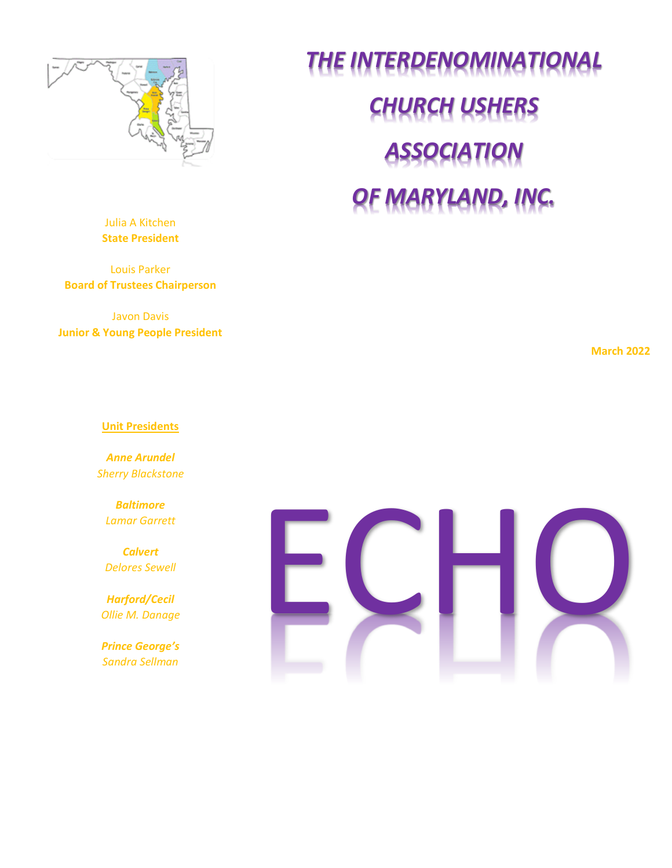

*THE INTERDENOMINATIONAL CHURCH USHERS ASSOCIATION OF MARYLAND, INC.*

Julia A Kitchen **State President**

Louis Parker **Board of Trustees Chairperson**

Javon Davis **Junior & Young People President**

**March 2022**

#### **Unit Presidents**

*Anne Arundel Sherry Blackstone*

*Baltimore Lamar Garrett*

*Calvert Delores Sewell*

*Harford/Cecil Ollie M. Danage*

*Prince George's Sandra Sellman*

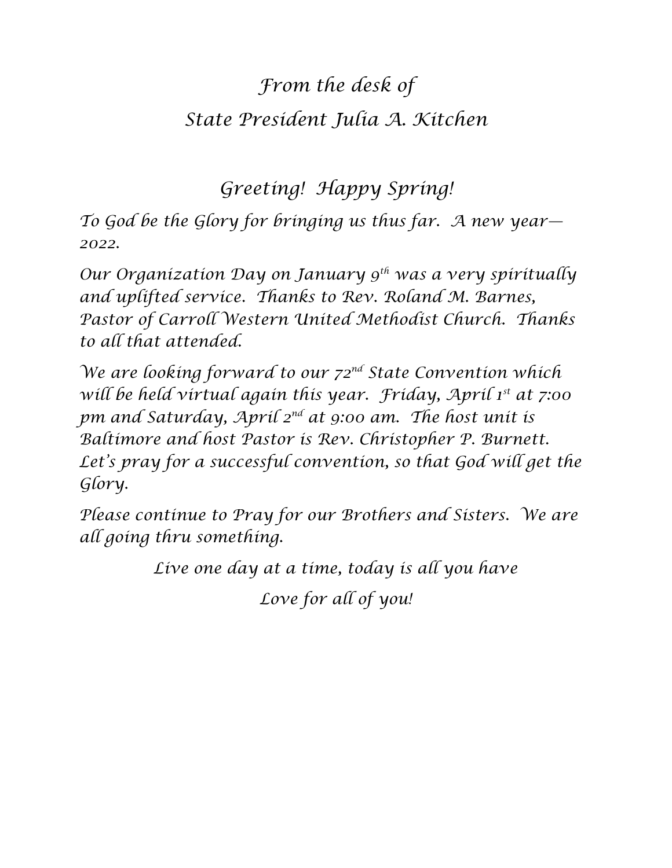## *From the desk of State President Julia A. Kitchen*

*Greeting! Happy Spring!*

*To God be the Glory for bringing us thus far. A new year— 2022.*

*Our Organization Day on January 9th was a very spiritually and uplifted service. Thanks to Rev. Roland M. Barnes, Pastor of Carroll Western United Methodist Church. Thanks to all that attended.*

*We are looking forward to our 72nd State Convention which will be held virtual again this year. Friday, April 1st at 7:00 pm and Saturday, April 2nd at 9:00 am. The host unit is Baltimore and host Pastor is Rev. Christopher P. Burnett. Let's pray for a successful convention, so that God will get the Glory.*

*Please continue to Pray for our Brothers and Sisters. We are all going thru something.*

*Live one day at a time, today is all you have*

*Love for all of you!*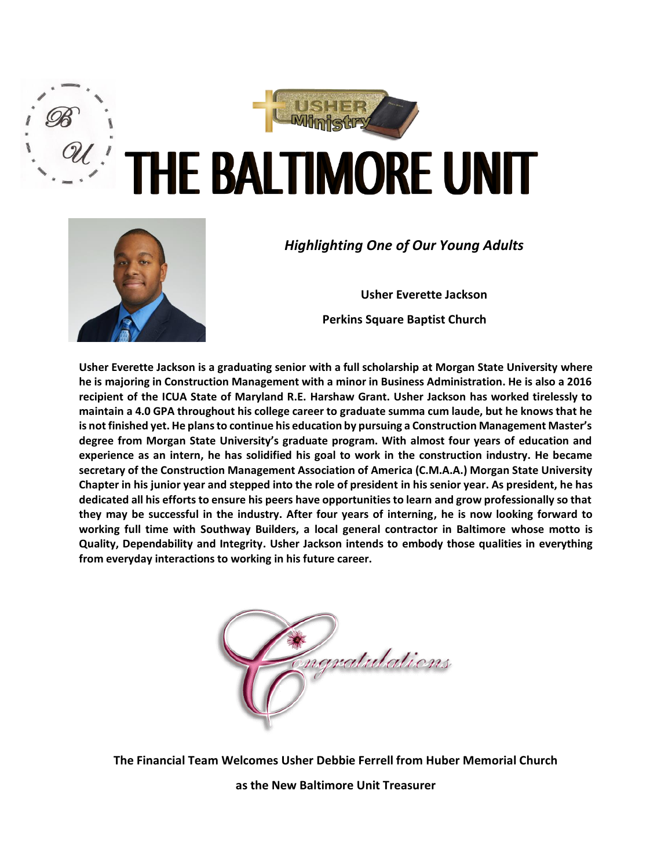



### *Highlighting One of Our Young Adults*

**Usher Everette Jackson Perkins Square Baptist Church** 

**Usher Everette Jackson is a graduating senior with a full scholarship at Morgan State University where he is majoring in Construction Management with a minor in Business Administration. He is also a 2016 recipient of the ICUA State of Maryland R.E. Harshaw Grant. Usher Jackson has worked tirelessly to maintain a 4.0 GPA throughout his college career to graduate summa cum laude, but he knows that he is not finished yet. He plans to continue his education by pursuing a Construction Management Master's degree from Morgan State University's graduate program. With almost four years of education and experience as an intern, he has solidified his goal to work in the construction industry. He became secretary of the Construction Management Association of America (C.M.A.A.) Morgan State University Chapter in his junior year and stepped into the role of president in his senior year. As president, he has dedicated all his efforts to ensure his peers have opportunities to learn and grow professionally so that they may be successful in the industry. After four years of interning, he is now looking forward to working full time with Southway Builders, a local general contractor in Baltimore whose motto is Quality, Dependability and Integrity. Usher Jackson intends to embody those qualities in everything from everyday interactions to working in his future career.**



**The Financial Team Welcomes Usher Debbie Ferrell from Huber Memorial Church** 

**as the New Baltimore Unit Treasurer**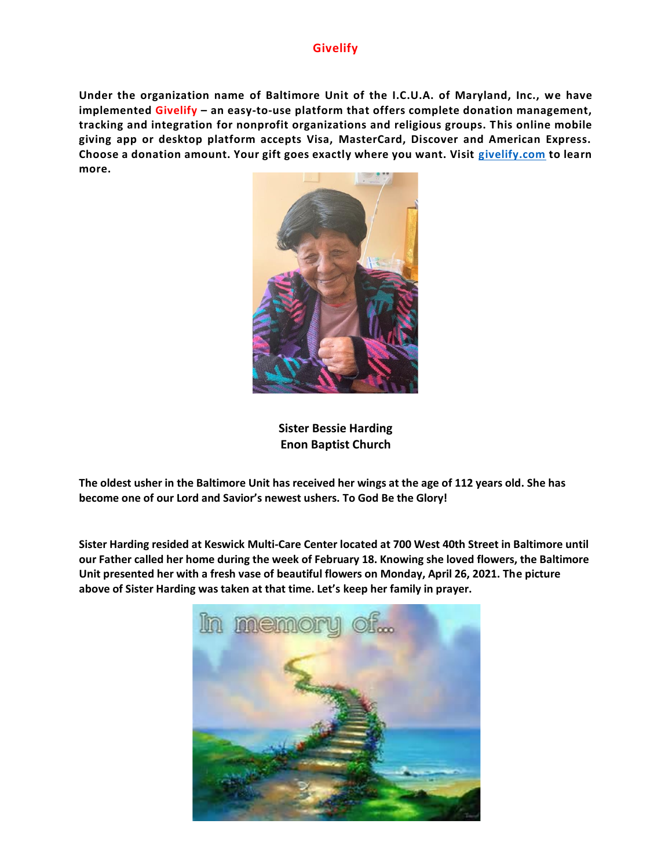### **Givelify**

**Under the organization name of Baltimore Unit of the I.C.U.A. of Maryland, Inc., we have implemented Givelify – an easy-to-use platform that offers complete donation management, tracking and integration for nonprofit organizations and religious groups. This online mobile giving app or desktop platform accepts Visa, MasterCard, Discover and American Express. Choose a donation amount. Your gift goes exactly where you want. Visit [givelify.com](http://www.givelify.com/) to learn more.**



**Sister Bessie Harding Enon Baptist Church**

**The oldest usher in the Baltimore Unit has received her wings at the age of 112 years old. She has become one of our Lord and Savior's newest ushers. To God Be the Glory!**

**Sister Harding resided at Keswick Multi-Care Center located at 700 West 40th Street in Baltimore until our Father called her home during the week of February 18. Knowing she loved flowers, the Baltimore Unit presented her with a fresh vase of beautiful flowers on Monday, April 26, 2021. The picture above of Sister Harding was taken at that time. Let's keep her family in prayer.**

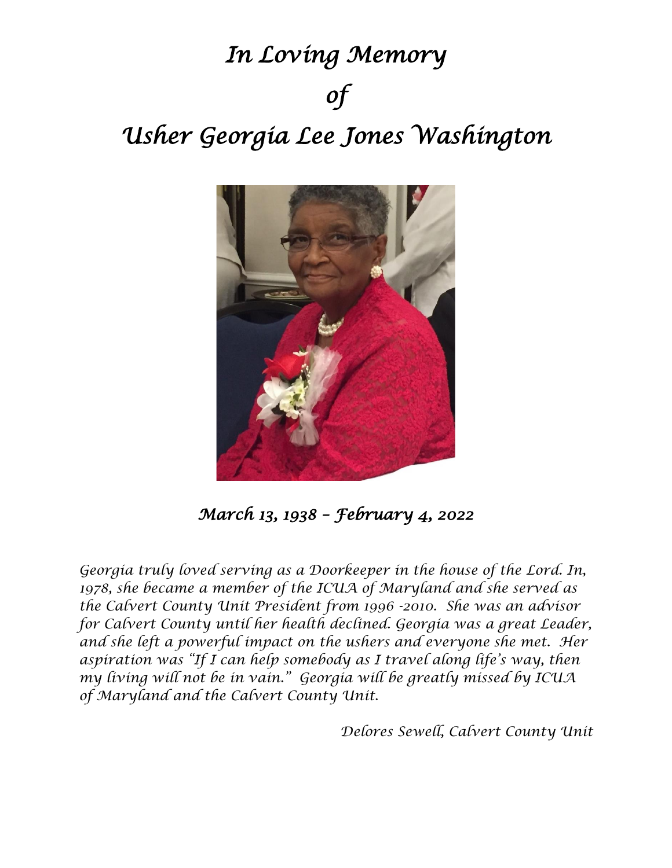# *In Loving Memory of Usher Georgia Lee Jones Washington*



*March 13, 1938 – February 4, 2022* 

*Georgia truly loved serving as a Doorkeeper in the house of the Lord. In, 1978, she became a member of the ICUA of Maryland and she served as the Calvert County Unit President from 1996 -2010. She was an advisor for Calvert County until her health declined. Georgia was a great Leader, and she left a powerful impact on the ushers and everyone she met. Her aspiration was "If I can help somebody as I travel along life's way, then my living will not be in vain." Georgia will be greatly missed by ICUA of Maryland and the Calvert County Unit.*

*Delores Sewell, Calvert County Unit*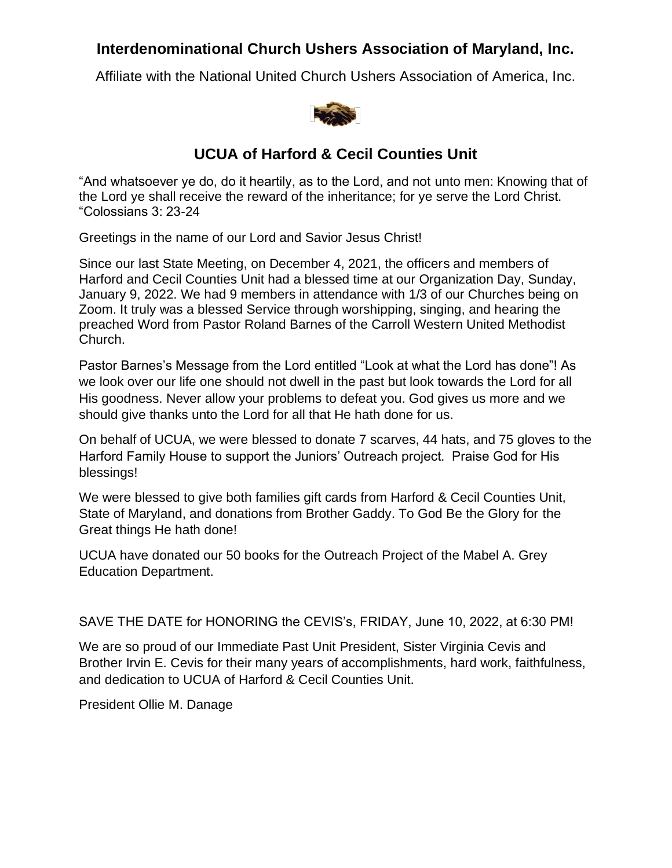### **Interdenominational Church Ushers Association of Maryland, Inc.**

Affiliate with the National United Church Ushers Association of America, Inc.



### **UCUA of Harford & Cecil Counties Unit**

"And whatsoever ye do, do it heartily, as to the Lord, and not unto men: Knowing that of the Lord ye shall receive the reward of the inheritance; for ye serve the Lord Christ. "Colossians 3: 23-24

Greetings in the name of our Lord and Savior Jesus Christ!

Since our last State Meeting, on December 4, 2021, the officers and members of Harford and Cecil Counties Unit had a blessed time at our Organization Day, Sunday, January 9, 2022. We had 9 members in attendance with 1/3 of our Churches being on Zoom. It truly was a blessed Service through worshipping, singing, and hearing the preached Word from Pastor Roland Barnes of the Carroll Western United Methodist Church.

Pastor Barnes's Message from the Lord entitled "Look at what the Lord has done"! As we look over our life one should not dwell in the past but look towards the Lord for all His goodness. Never allow your problems to defeat you. God gives us more and we should give thanks unto the Lord for all that He hath done for us.

On behalf of UCUA, we were blessed to donate 7 scarves, 44 hats, and 75 gloves to the Harford Family House to support the Juniors' Outreach project. Praise God for His blessings!

We were blessed to give both families gift cards from Harford & Cecil Counties Unit, State of Maryland, and donations from Brother Gaddy. To God Be the Glory for the Great things He hath done!

UCUA have donated our 50 books for the Outreach Project of the Mabel A. Grey Education Department.

SAVE THE DATE for HONORING the CEVIS's, FRIDAY, June 10, 2022, at 6:30 PM!

We are so proud of our Immediate Past Unit President, Sister Virginia Cevis and Brother Irvin E. Cevis for their many years of accomplishments, hard work, faithfulness, and dedication to UCUA of Harford & Cecil Counties Unit.

President Ollie M. Danage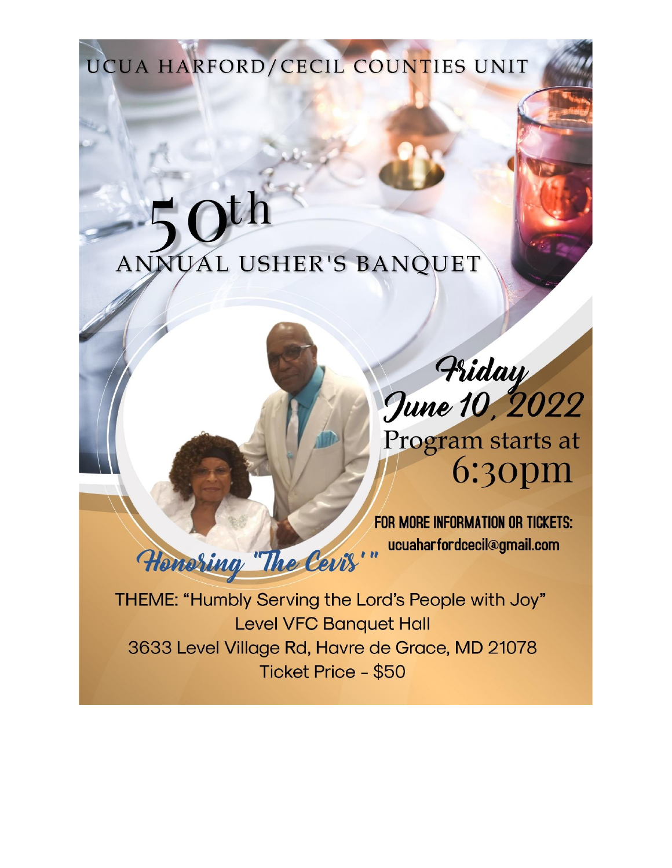UCUA HARFORD/CECIL COUNTIES UNIT

# ANNUAL USHER'S BANQUET

Friday<br>June 10, 2022 Program starts at  $6:30<sub>pm</sub>$ 

FOR MORE INFORMATION OR TICKETS: ucuaharfordcecil@gmail.com Honoring "The Cevis"

THEME: "Humbly Serving the Lord's People with Joy" **Level VFC Banquet Hall** 3633 Level Village Rd, Havre de Grace, MD 21078 Ticket Price - \$50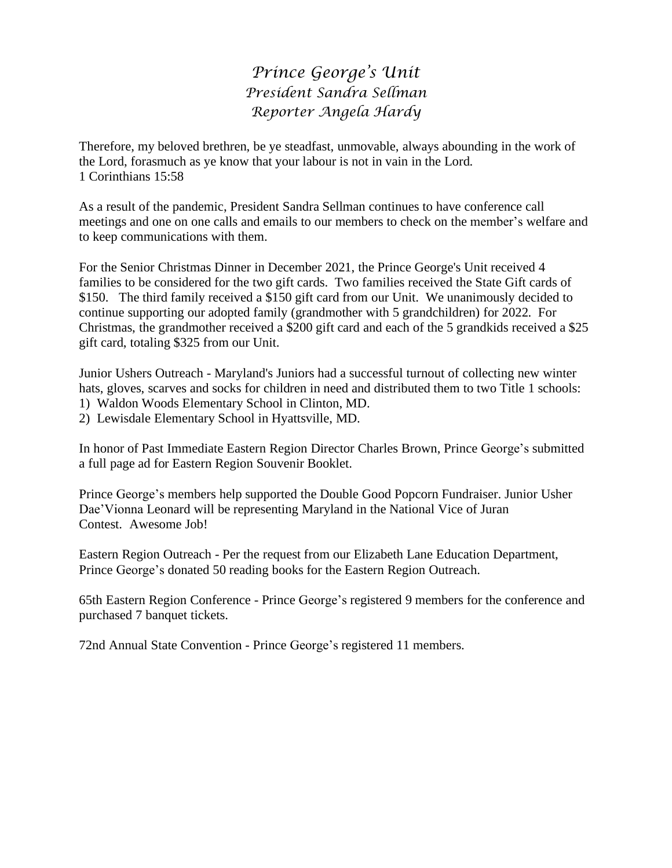### *Prince George's Unit President Sandra Sellman Reporter Angela Hardy*

Therefore, my beloved brethren, be ye steadfast, unmovable, always abounding in the work of the Lord, forasmuch as ye know that your labour is not in vain in the Lord. 1 Corinthians 15:58

As a result of the pandemic, President Sandra Sellman continues to have conference call meetings and one on one calls and emails to our members to check on the member's welfare and to keep communications with them.

For the Senior Christmas Dinner in December 2021, the Prince George's Unit received 4 families to be considered for the two gift cards. Two families received the State Gift cards of \$150. The third family received a \$150 gift card from our Unit. We unanimously decided to continue supporting our adopted family (grandmother with 5 grandchildren) for 2022. For Christmas, the grandmother received a \$200 gift card and each of the 5 grandkids received a \$25 gift card, totaling \$325 from our Unit.

Junior Ushers Outreach - Maryland's Juniors had a successful turnout of collecting new winter hats, gloves, scarves and socks for children in need and distributed them to two Title 1 schools:

- 1) Waldon Woods Elementary School in Clinton, MD.
- 2) Lewisdale Elementary School in Hyattsville, MD.

In honor of Past Immediate Eastern Region Director Charles Brown, Prince George's submitted a full page ad for Eastern Region Souvenir Booklet.

Prince George's members help supported the Double Good Popcorn Fundraiser. Junior Usher Dae'Vionna Leonard will be representing Maryland in the National Vice of Juran Contest. Awesome Job!

Eastern Region Outreach - Per the request from our Elizabeth Lane Education Department, Prince George's donated 50 reading books for the Eastern Region Outreach.

65th Eastern Region Conference - Prince George's registered 9 members for the conference and purchased 7 banquet tickets.

72nd Annual State Convention - Prince George's registered 11 members.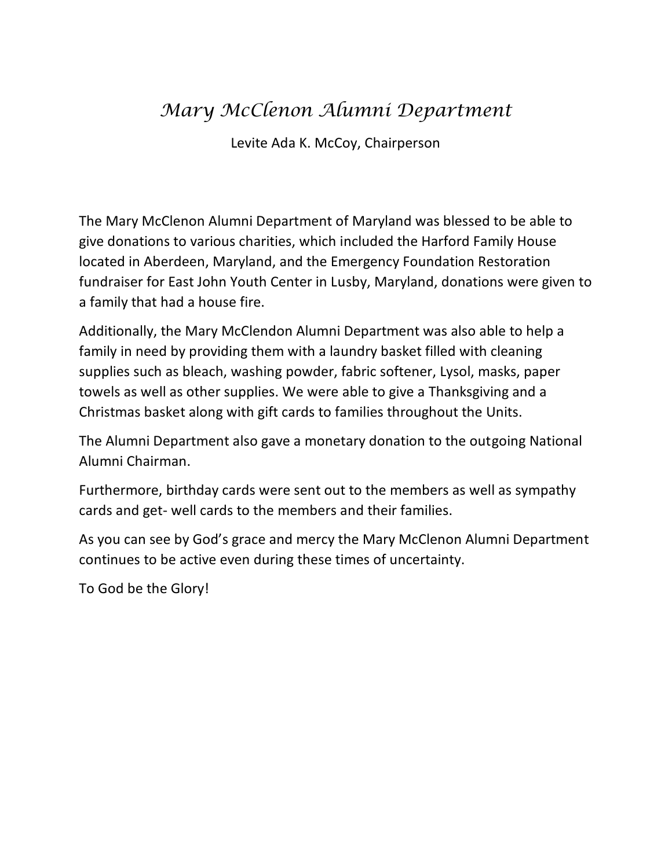### *Mary McClenon Alumni Department*

Levite Ada K. McCoy, Chairperson

The Mary McClenon Alumni Department of Maryland was blessed to be able to give donations to various charities, which included the Harford Family House located in Aberdeen, Maryland, and the Emergency Foundation Restoration fundraiser for East John Youth Center in Lusby, Maryland, donations were given to a family that had a house fire.

Additionally, the Mary McClendon Alumni Department was also able to help a family in need by providing them with a laundry basket filled with cleaning supplies such as bleach, washing powder, fabric softener, Lysol, masks, paper towels as well as other supplies. We were able to give a Thanksgiving and a Christmas basket along with gift cards to families throughout the Units.

The Alumni Department also gave a monetary donation to the outgoing National Alumni Chairman.

Furthermore, birthday cards were sent out to the members as well as sympathy cards and get- well cards to the members and their families.

As you can see by God's grace and mercy the Mary McClenon Alumni Department continues to be active even during these times of uncertainty.

To God be the Glory!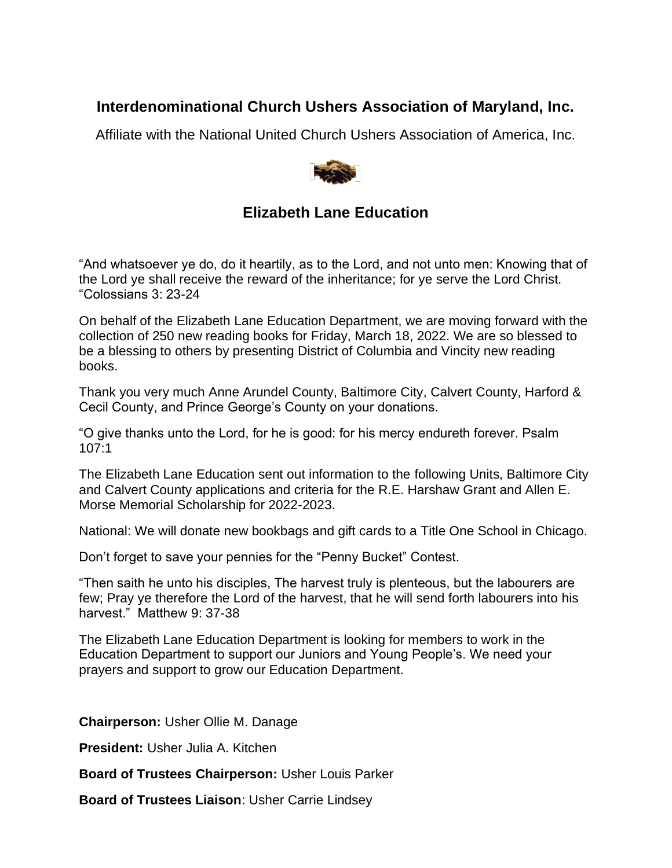### **Interdenominational Church Ushers Association of Maryland, Inc.**

Affiliate with the National United Church Ushers Association of America, Inc.



### **Elizabeth Lane Education**

"And whatsoever ye do, do it heartily, as to the Lord, and not unto men: Knowing that of the Lord ye shall receive the reward of the inheritance; for ye serve the Lord Christ. "Colossians 3: 23-24

On behalf of the Elizabeth Lane Education Department, we are moving forward with the collection of 250 new reading books for Friday, March 18, 2022. We are so blessed to be a blessing to others by presenting District of Columbia and Vincity new reading books.

Thank you very much Anne Arundel County, Baltimore City, Calvert County, Harford & Cecil County, and Prince George's County on your donations.

"O give thanks unto the Lord, for he is good: for his mercy endureth forever. Psalm 107:1

The Elizabeth Lane Education sent out information to the following Units, Baltimore City and Calvert County applications and criteria for the R.E. Harshaw Grant and Allen E. Morse Memorial Scholarship for 2022-2023.

National: We will donate new bookbags and gift cards to a Title One School in Chicago.

Don't forget to save your pennies for the "Penny Bucket" Contest.

"Then saith he unto his disciples, The harvest truly is plenteous, but the labourers are few; Pray ye therefore the Lord of the harvest, that he will send forth labourers into his harvest." Matthew 9: 37-38

The Elizabeth Lane Education Department is looking for members to work in the Education Department to support our Juniors and Young People's. We need your prayers and support to grow our Education Department.

**Chairperson:** Usher Ollie M. Danage

**President:** Usher Julia A. Kitchen

**Board of Trustees Chairperson:** Usher Louis Parker

**Board of Trustees Liaison**: Usher Carrie Lindsey